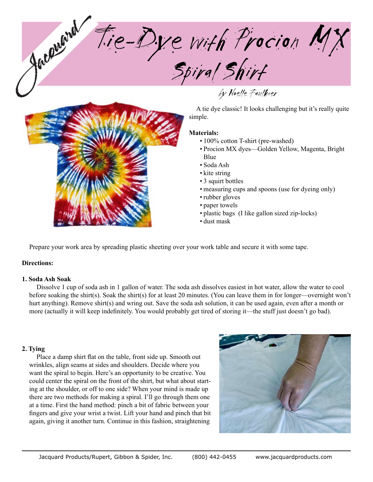Tie-Dye with Procion MX Spiral Shirt



A tie dye classic! It looks challenging but it's really quite simple.

### **Materials:**

• 100% cotton T-shirt (pre-washed)

by Noelle Faulkner

- Procion MX dyes-Golden Yellow, Magenta, Bright Blue
- Soda Ash •
- kite string
- 3 squirt bottles •
- measuring cups and spoons (use for dyeing only)
- rubber gloves
- paper towels
- plastic bags (I like gallon sized zip-locks) •
- dust mask •

Prepare your work area by spreading plastic sheeting over your work table and secure it with some tape.

# **Directions:**

### **1. Soda Ash Soak**

Dissolve 1 cup of soda ash in 1 gallon of water. The soda ash dissolves easiest in hot water, allow the water to cool before soaking the shirt(s). Soak the shirt(s) for at least 20 minutes. (You can leave them in for longer—overnight won't hurt anything). Remove shirt(s) and wring out. Save the soda ash solution, it can be used again, even after a month or more (actually it will keep indefinitely. You would probably get tired of storing it—the stuff just doesn't go bad).

# **2. Tying**

Place a damp shirt flat on the table, front side up. Smooth out wrinkles, align seams at sides and shoulders. Decide where you want the spiral to begin. Here's an opportunity to be creative. You could center the spiral on the front of the shirt, but what about starting at the shoulder, or off to one side? When your mind is made up there are two methods for making a spiral. I'll go through them one at a time. First the hand method: pinch a bit of fabric between your fingers and give your wrist a twist. Lift your hand and pinch that bit again, giving it another turn. Continue in this fashion, straightening

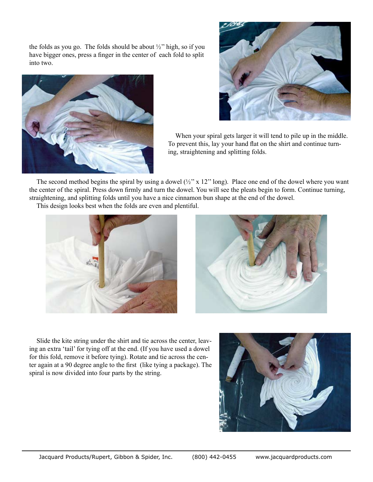the folds as you go. The folds should be about  $\frac{1}{2}$ " high, so if you have bigger ones, press a finger in the center of each fold to split into two.





When your spiral gets larger it will tend to pile up in the middle. To prevent this, lay your hand flat on the shirt and continue turning, straightening and splitting folds.

The second method begins the spiral by using a dowel  $(\frac{1}{2}$ " x 12" long). Place one end of the dowel where you want the center of the spiral. Press down firmly and turn the dowel. You will see the pleats begin to form. Continue turning, straightening, and splitting folds until you have a nice cinnamon bun shape at the end of the dowel.

This design looks best when the folds are even and plentiful.





Slide the kite string under the shirt and tie across the center, leaving an extra 'tail' for tying off at the end. (If you have used a dowel for this fold, remove it before tying). Rotate and tie across the center again at a 90 degree angle to the first (like tying a package). The spiral is now divided into four parts by the string.